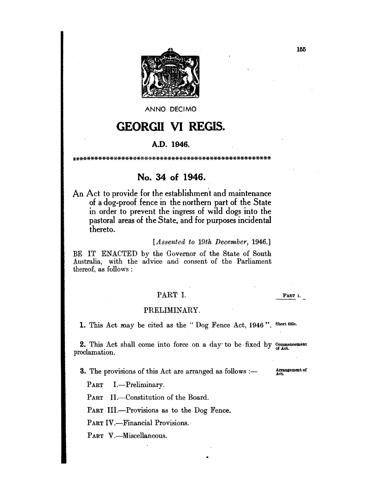

ANNO DECIMO

# **GEORGII** VI REGIS.

### A.D. 1946.

\*\*\*\*\*\*\*\*\*\*\*\*\*\*\*\*\*\*\*\*\*\*\*\*\*\*\*\*\*\*\*\*\*\*\*\*\*\*\*\*\*\*\*\*\*\*\*\*\*\*\*\*

# No. 34 of 1946.

An Act to provide for the establishment and maintenance of a dog-proof fence in the northern part of the State in order to prevent the ingress of wild dogs into the pastoral areas of the State, and for purposes incidental thereto.

### *[Assented to 19th December, 1946.]*

BE IT ENACTED by the Governor of the State of South Australia, with the advice and consent of the Parliament thereof, as follows:

## PART 1.

PART I.

### PRELIMINARY.

1. This Act may be cited as the "Dog Fence Act, 1946". Short title.

2. This Act shall come into force on a day to be fixed by Commencement oclamation. proclamation.

•

**3.** The provisions of this Act are arranged as follows :-

Arrangement of Act.

PART I.—Preliminary.

PART II.-Constitution of the Board.

PART III.-Provisions as to the Dog Fence.

PART IV.-Financial Provisions.

PART V.-Miscellaneous.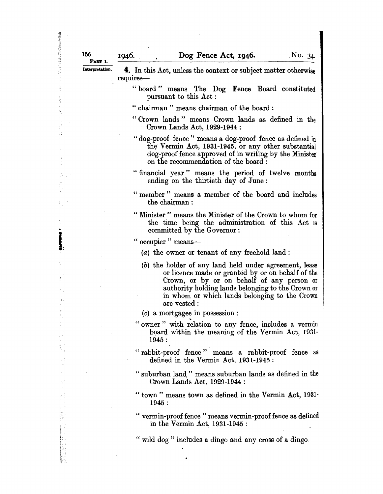156

技术(September)

..

I:

 $\mathbb{M}$  ,  $\mathbb{I}$ i' . i C'

Interpretation.  $\Phi$ . In this Act, unless the context or subject matter otherwise requires-

- " board" means The Dog Fence Board constituted pursuant to this Act :
- " chairman " means chairman of the board :
- "Crown lands" means Crown lands as defined in the Crown Lands Act, 1929-1944 :
- "dog-proof fence" means a dog-proof fence as defined in the Vermin Act, 1931-1945, or any other substantial dog-proof fence approved of in writing by the Minister on. the recommendation of the board:
- "financial year" means the period of twelve months ending on the thirtieth day of June:
- " member" means a member of the board and includes the chairman:
- "Minister" means the Minister of the Crown to whom for the time being the administration of this Act is committed by the Governor:

" occupier " means-

- (a) the owner or tenant of any freehold land:
- (b) the holder of any land held under agreement, lease or licence made or granted by or on behalf of the Crown, or by or on behalf of any person or authority holding lands belonging to the Crown or in whom or which lands belonging to the Crown are vested:
- 
- (c) a mortgagee in possession :<br>" owner" with relation to any fence, includes a vermin board within the meaning of the Vermin Act, 1931-1945 :
- "rabbit-proof fence" means a rabbit-proof fence as defined in the Vermin Act, 1931-1945 :
- " suburban land" means suburban lands as defined in the Crown Lands Act, 1929-1944 :
- "town" means town as defined in the Vermin Act, 1931- 1945 :
- " vermin-proof fence" means vermin-proof fence as defined in the Vermin Act, 1931-1945 :

" wild dog" includes a dingo and any cross of a dingo.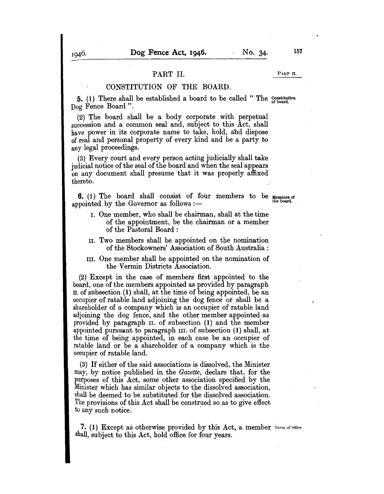### PART II. PART II.

### CONSTITUTION OF THE BOARD.

**5.** (1) There shall be established a board to be called "The Constitution Dog Fence Board".

(2) The board shall be a body corporate with perpetual succession and a common seal and, subject to this Act, shall have power in its corporate name to take, hold, and dispose of real and personal property of every kind and be a party to any legal proceedings.

(3) Every court and every person acting judicially shall take judicial notice of the seal of the board and when the seal appears on any document shall presume that it was properly affixed thereto.

**6.** (1) The board shall consist of four members to be Members of appointed by the Governor as follows :-

- I. One member, who shall be chairman, shall at the time of the appointment, be the chairman or a member of the Pastoral Board :
- II. Two members shall be appointed on the nomination of the Stockowners' Association of South Australia:
- III. One member shall be appointed on the nomination of the Vermin Districts Association.

(2) Except in the case of members first appointed to the board, one of the members appointed as provided by paragraph II. of subsection (1) shall, at the time of being appointed, be an occupier of ratable land adjoining the dog fence or shall be a shareholder of a company which is an occupier of ratable land adjoining the dog fence, and the other member appointed as provided by paragraph II. of subsection (1) and the member appointed pursuant to paragraph III. of subsection (1) shall, at the time of being appointed, in each case be an occupier of ratable land or be a shareholder of a company which is the occupier of ratable land.

(3) If either of the said associations is dissolved, the Minister may, by notice published in the *Gazette,* declare that, for the purposes of this Act, some other association specified by the Minister which has similar objects to the dissolved association, shall be deemed to be substituted for the dissolved association. The provisions of this Act shall be construed so as to give effect to any such notice.

7. (1) Except as otherwise provided by this Act, a member  $T_{\text{term of office}}$ shall, subject to this Act, hold office for four years.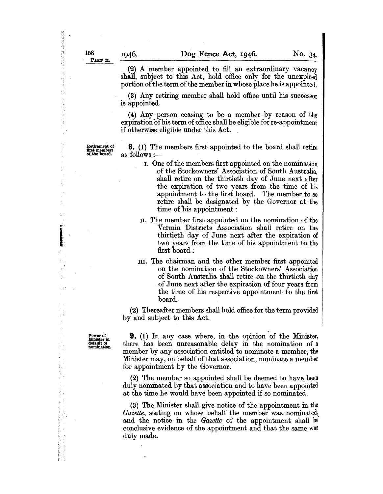$\frac{1}{2}$ 

地位的过去式

....

I:

(2) A member appointed to fill an extraordinary vacancy shall, subject to this Act, hold office only for the unexpired portion of the term of the member in whose place he is appointed.

(3) Any retiring member shall hold office until his successor is appointed.

(4) Any person ceasing to be a member' by reason of the expiration of his term of office shall be eligible for re-appointment if otherwise eligible under this Act.

Retirement of<br>first members<br>of, the board.

**8.** (1) The members first appointed to the board shall retire as follows :--

- I. One of the members first appointed on the nomination of the Stockowners' Association of South Australia, shall retire on the thirtieth day of June next after the expiration of two years from the time of his appointment to the first board. The member to so retire shall be designated by the Governor at the time of 'his appointment:
- II. The member first appointed on the nomination of the Vermin Districts Association shall retire on the thirtieth day of June next after the expiration of two years from the time of his appointment to the first board :
- III. The chairman and the other member first appointed on the nomination of the Stockowners' Association of South Australia shall retire on the thirtieth day of June next after the expiration of four years from the time of his respective appointment to the first board.

(2) Thereafter members shall hold office for the term provided by and subject to this Act.

Power of Minister In default of nomination.

**9.** (1) In any case where, in the opinion of the Minister, there has been unreasonable delay in the nomination of a member by any association entitled to nominate a member, the Minister may, on behalf of that association, nominate a member for appointment by the Governor.

(2) The member so appointed shall be deemed to have been duly nominated by that association and to have been appointed at the time he would have been appointed if so nominated.

(3) The Minister shall give notice of the appointment in the *Gazette*, stating on whose behalf the member was nominated, and the notice in the *Gazette* of the appointment shall be conclusive evidence of the appointment and that the same was duly made.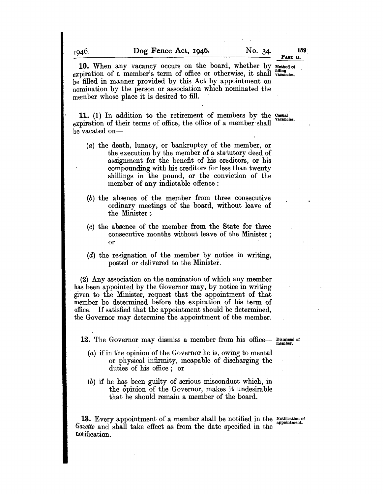10. When any vacancy occurs on the board, whether by Method of expiration of a member's term of office or otherwise, it shall wavancies. be filled in manner provided by this Act by appointment on nomination by the person or association which nominated the member whose place it is desired to fill.

11. (1) In addition to the retirement of members by the Casual vacancies. expiration of their terms of office, the office of a member 'shall be vacated on-

- (a) the death, lunacy, or bankruptcy of the member, or the execution by the member of a statutory deed of assignment for the benefit of his creditors, or his compounding with his creditors for less than twenty shillings in the pound, or the conviction of the member of any indictable offence:
- (b) the absence of the member from three consecutive ordinary meetings of the board, without leave of the Minister:.
- (0) the absence of the member from the State for three consecutive months without leave of the Minister; or
- (d) the resignation of the member by notice in writing, posted or delivered to the Minister.

(2) Any association on the nomination of which any member has been appointed by the Governor may, by notice in writing given to the Minister, request that the appointment of that member be determined before the expiration of his term of office. If satisfied that the appointment should be determined, the Governor may determine the appointment of the member.

**12.** The Governor may dismiss a member from his office- Dismissal of

- (a) if in the opinion of the Governor he is, owing to mental or physical infirmity, incapable of discharging the duties of his office; or
- (b) if he has been guilty of serious misconduct which, in the opinion of the Governor, makes it undesirable that he should remain a member of the board.

13. Every appointment of a member shall be notified in the Notification of *Gazette* and shall take effect as from the date specified in the notification.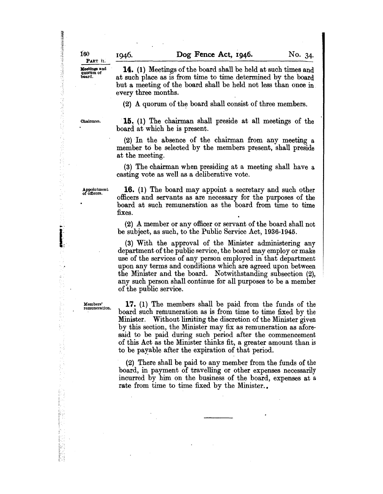無理性の情報を提供する場合には、このことには、このことには、

(传统网络西兰村)

ś

f)

**Moetings and 14.** (1) Meetings of the board shall be held at such times and quorum of a such place as is from time to time determined by the board at such place as is from time to time determined by the board but a meeting of the board shall be held not less than once in every three months.

 $(2)$  A quorum of the board shall consist of three members.

Chairman.  $15. (1)$  The chairman shall preside at all meetings of the board at which he is present.

> $(2)$  In the absence of the chairman from any meeting a member to be selected by the members present, shall preside at the meeting.

> (3) The chairman when presiding at a meeting shall have a casting vote as well as a deliberative vote.

Appointment of ofticcrs.

I...'

医生物质

Ý.

**16.** (1) The board may appoint a secretary and such other officers and servants as are necessary for the purposes of the board at such remuneration as the board from time to time fixes.

(2) A member or any officer or servant of the board shall not be subject, as such, to the Public Service Act, 1936-1945.

(3) With the approval of the Minister administering any department of the public service, the board may employ or make use of the services of any person employed in that department upon any terms and conditions which are agreed upon between the Minister and the board. Notwithstanding subsection (2), any such person shall continue for all purposes to be a member of the public service.

Members' remuneration.

**17.** (1) The members shall be paid from the funds of the board such remuneration as is from time to time fixed by the Minister. Without limiting the discretion of the Minister given by this section, the Minister may fix as remuneration as aforesaid to be paid during such period after the commencement of this Act as the Minister thinks fit, a greater amount than is to be payable after the expiration of that period.

(2) There shall be paid to any member from the funds of the board, in payment of travelling or other expenses necessarily incurred by him on the business of the board, expenses at a rate from time to time fixed by the Minister..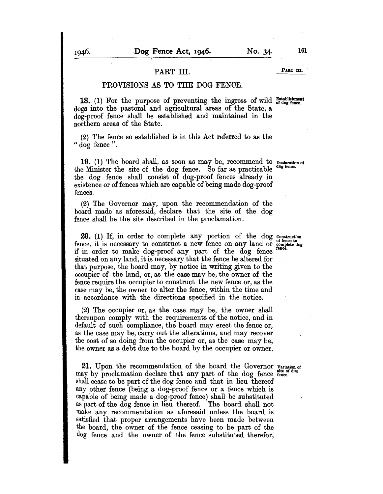## PART III. PART III.

### PROVISIONS AS TO THE DOG FENCE.

18. (1) For the purpose of preventing the ingress of wild  $\frac{\text{Estable}+1}{\text{of degree}}$ . dogs into the pastoral and agricultural areas of the State, a dog-proof fence shall be established and maintained in the northern areas of the State.

(2) The fence so established is in this Act referred to as the " dog fence".

19. (1) The board shall, as soon as may be, recommend to Declaration of the Minister the site of the dog fence. So far as practicable the dog fence shall consist of dog-proof fences already in existence or of fences which are capable of being made dog-proof fences.

(2) The Governor may, upon the recommendation of the board made as aforesaid, declare that the site of the dog fence shall be the site described in the proclamation.

**20.** (1) If, in order to complete any portion of the dog Construction fence, it is necessary to construct a new fence on any land or complete dog fence, if in order to make dog-proof any part of the dog fence situated on any land, it is necessary that the fence be altered for that purpose, the board may, by notice in writing given to the occupier of the land, or, as the case may be, the owner of the fence require the occupier to construct the new fence or, as the case may be, the owner to alter the fence, within the time and in accordance with the directions specified in the notice.

(2) The occupier or, as the case may be, the owner shall thereupon comply with the requirements of the notice, and in default of such compliance, the board may erect the fence or, as the case may be, carry out the alterations, and may recover the cost of so doing from the occupier or, as the case may be, the owner as a debt due to the board by the occupier or owner.

**21.** Upon the recommendation of the board the Governor  $V_{\text{aritation of}}$  of may by proclamation declare that any part of the dog fence  $_{\text{fence}}^{\text{site}}$ shall cease to be part of the dog fence and that in lieu thereof any other fence (being a dog-proof fence or a fence which is capable of being made a dog-proof fence) shall be substituted as part of the dog fence in lieu thereof. The board shall not make any recommendation as aforesaid unless the board is satisfied that proper arrangements have been made between the board, the owner of the fence ceasing to be part of the dog fence and the owner of the fence substituted therefor,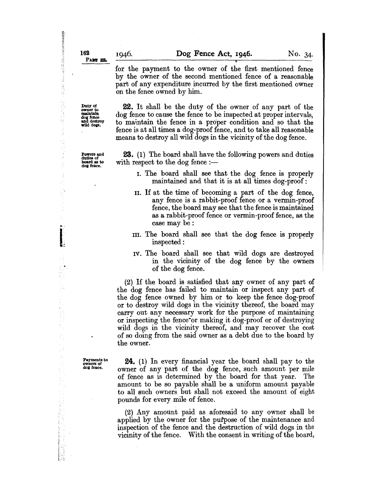for the payment to the owner of the first mentioned fence by the owner of the second mentioned fence of a reasonable part of any expenditure incurred by the first mentioned owner on the fence owned by him.

22. It shall be the duty of the owner of any part of the dog fence to cause the fence to be inspected at proper intervals, to maintain the fence in a proper condition and so that the fence is at all times a dog-proof fence, and to take all reasonable means to destroy all wild dogs in the vicinity of the dog fence.

Powers and duties of board as to dog fence.

Duty of<br>owner to<br>maintain dog fence and destroy wild dogs.

...

おおやまのある あいまんの あいやく あんなん こうかん

不是是

2002年4月

A, i.

k ţ ò. P)

 $\mathbf{I}$ 

 $\frac{1}{2}$  :

 $\frac{1}{2}$ 

23. (1) The board shall have the following powers and duties with respect to the dog fence  $:$ 

- I. The board shall see that the dog fence is properly maintained and that it is at all times dog-proof:
- II. If at the time of becoming a part of the dog fence, any fence is a rabbit-proof fence or a vermin-proof fence, the board may see that the fence is maintained as a rabbit-proof fence or vermin-proof fence, as the case may be:
- III. The board shall see that the dog fence is properly inspected:
- IV. The board shall see that wild dogs are destroyed in the vicinity of the dog fence by the owners of the dog fence.

(2) If the board is satisfied that any owner of any part of the dog fence has failed to maintain or inspect any part of the dog fence owned by him or to keep the fence dog-proof or to destroy wild dogs in the vicinity thereof, the board may carry out any necessary work for the purpose of maintaining or inspecting the fence·or making it dog-proof or of destroying wild dogs in the vicinity thereof, and may recover the cost of so doing from the said owner as a debt due to the board by the owner.

Payments to owners of deg fence.

 $\ddot{\phantom{0}}$ 

24. (1) In every financial year the board shall pay to the owner of any part of the dog fence, such amount per mile of fence as is determined by the board for that year. The amount to be so payable shall be a uniform amount payable to all such owners but shall not exceed the amount of eight pounds for every mile of fence.

(2) Any amount paid as aforesaid to any owner shall be applied by the owner for the purpose of the maintenance and inspection of the fence and the destruction of wild dogs in the vicinity of the fence. With the consent in writing of the board,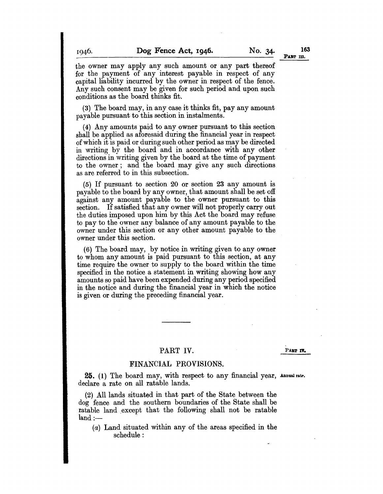the owner may apply any such amount or any part thereof for the payment of any interest payable in respect of any capital liability incurred by the owner in respect of the fence. Any such consent may be given for such period and upon such conditions as the board thinks fit.

(3) The board may, in any case it thinks fit, pay any amount payable pursuant to this section in instalments.

(4) Any amounts paid to any owner pursuant to this section shall be applied as aforesaid during the financial year in respect of which it is paid or during such other period as may be directed in writing by the board and in accordance with any other directions in writing given by the board at the time of payment to the owner; and the board may give any such directions as are referred to in this subsection.

(5) If pursuant to section 20 or section 23 any amount is payable to the board by any owner, that amount shall be set off against any amount payable to the owner pursuant to this section. If satisfied that any owner will not properly carry out the duties imposed upon him by this Act the board may refuse to pay to the owner any balance of any amount payable to the owner under this section or any other amount payable to the owner under this section.

(6) The board may, by notice in writing given to any owner to whom any amount is paid pursuant to this section, at any time require the owner to supply to the board within the time specified in the notice a statement in writing showing how any amounts so paid have been expended during any period specified in the notice and during the financial year in which the notice is given or during the preceding financial year.

### PART IV.

PART **IV.** 

### FINANCIAL PROVISIONS.

25. (1) The board may, with respect to any financial year, Annual rate. declare a rate on all ratable lands.

(2) All lands situated in that part of the State between the dog fence and the southern boundaries of the State shall be ratable land except that the following shall not be ratable  $land :=$ 

(a) Land situated within any of the areas specified in the schedule: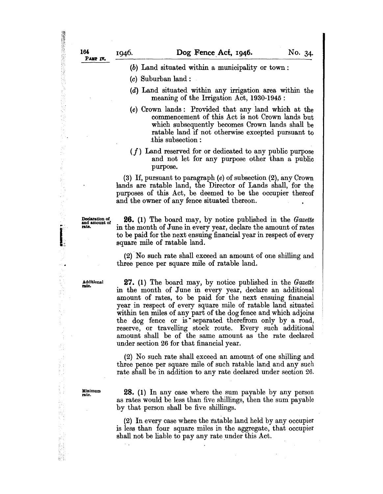(b) Land situated within a municipality or town:

(c) Suburban land:

- (d) Land situated within any irrigation area within the meaning of the Irrigation Act, 1930-1945 :
- (e) Crown lands: Provided that any land which at the commencement of this Act is not Crown lands but which subsequently becomes Crown lands shall be ratable land if not otherwise excepted pursuant to .this subsection:
- *(f)* Land reserved for or dedicated to any public purpose and not let for any purpose other than a public purpose.

(3) If, pursuant to paragraph (e) of subsection (2), any Crown lands are ratable land, the Director of Lands shall, for the purposes of this Act, be deemed to be the occupier thereof and the owner of any fence situated thereon. .

...

in and

1000年10月

ķ. 

왔다

ś

I.•.. "

=~:~to:f 26. (1) The board may, by notice published in the *Gazette*  in the month of June in every year, declare the amount of rates to be paid for the next ensuing financial year in respect of every square mile of ratable land.

> (2) No such rate shall exceed an amount of one shilling and three pence per square mile of ratable land.

Additional rate.

27. (1) The board may, by notice published in the *Gazette*  in the month of June in every year, declare an additional amount of rates, to be paid for the next ensuing financial year in respect of every square mile of ratable land situated within ten miles of any part of the dog fence and which adjoins the dog fence or is separated therefrom only by a road, reserve, or travelling stock route. Every such additional amount shall be of the same amount as the rate declared under section 26 for that financial year.

(2) No such rate shall exceed an amount of one shilling and three pence per square mile of such ratable land and any such rate shall be in addition to any rate declared under section 26.

Minimum rate.

 $\mathcal{L}_{\text{max}}$ 

28. (1) In any case where the sum payable by any person as rates would be less than five shillings, then the sum payable by that person shall be five shillings.

(2) In every case where the ratable land held by any occupier is less than four square miles in the aggregate, that occupier shall not be liable to pay any rate under this Act.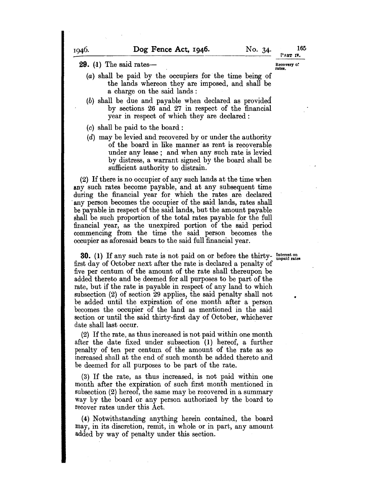165

**29.** (1) The said rates-

- (a) shall be paid by the occupiers for the time being of the lands whereon they are imposed, and shall be a charge on the said lands : Recovery of<br>rates.
- (b) shall be due and payable when declared as provided by sections 26 and 27 in respect of the financial year in respect of which they are declared:
- $(c)$  shall be paid to the board:
- (d) may be levied and recovered by or under the authority of the board in like manner as rent is recoverable under any lease; and when any such rate is levied by distress, a warrant signed by the board shall be sufficient authority to distrain.

(2) If there is no occupier of any such lands at the time when any such rates become payable, and at any subsequent time during the financial year for which the rates are declared . any person becomes the occupier of the said lands, rates shall be payable in respect of the said lands, but the amount payable shall be such proportion of the total rates payable for the full financial year, as the unexpired portion of the said period commencing from the time the said person becomes the occupier as aforesaid bears to the said full financial year.

•

**30.** (1) If any such rate is not paid on or before the thirty- Interest on first day of October next after the rate is declared a penalty of five per centum of the amount of the rate shall thereupon be added thereto and be deemed for all purposes to be part of the rate, but if the rate is payable in respect of any land to which subsection (2) of section 29 applies, the said penalty shall not be added until the expiration of one month after a person becomes the occupier of the land as mentioned in the said section or until the said thirty-first day of October, whichever date shall last occur.

(2) If the rate, as thus increased is not paid within one month after the date fixed under subsection (1) hereof, a further penalty of ten per centum of the amount of the rate as so increased shall at the end of such month be added thereto and. be deemed for aU purposes to be part of the rate.

(3) If the rate, as thus increased, is not paid within one month after the expiration of such first month mentioned in subsection (2) hereof, the same may be recovered in a summary way by the board or any person authorized by the board to recover rates under this Act.

(4) Notwithstanding anything herein contained, the board may, in its discretion, remit, in whole or in part, any amount added by way of penalty under this section.

1946.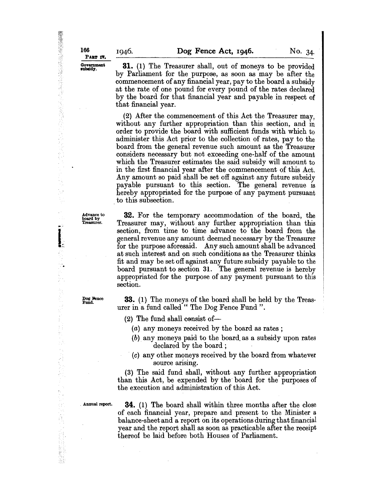**31.** (1) The Treasurer shall, out of moneys to be provided by Parliament for the purpose, as soon as may be after the commencement of any financial year, pay to the board a subsidy at the rate of one pound for every pound of the rates declared by the board for that financial year and payable in respect of that financial year.

(2) After the commencement of this Act the Treasurer may, without any further appropriation than this section, and in order to provide the board with sufficient funds with which to administer this Act prior to the collection of rates, pay to the board from the general revenue such amount as the Treasurer considers necessary but not exceeding one-half of the amount which the Treasurer estimates the said subsidy will amount to in the first financial year after the commencement of this Act. Any amount so paid shall be set off against any future subsidy payable pursuant to this section. The general revenue is hereby appropriated for the purpose of any payment pursuant to this subsection.

p.

Į.

 $\frac{1}{2}$ 

 $\mathbb{S}^2$ 

(新鮮語)

Dog Bence Fund.

*Advance to* 32. For the temporary accommodation of the board, the board by Treasurer. Treasurer may, without any further appropriation than this Treasurer may, without any further appropriation than this section, from time to time advance to the board from the general revenue any amount deemed necessary by the Treasurer for the purpose aforesaid. Any such amount shall be advanced at such interest and on such conditions as the Treasurer thinks fit and may be set off against any future subsidy payable to the board pursuant to section 31. The general revenue is hereby appropriated for the purpose of any payment pursuant to this section.

> 33. (1) The moneys of the board shall be held by the Treasurer in a fund called " The Dog Fence Fund".

 $(2)$  The fund shall consist of-

(a) any moneys received by the board as rates;

- (b). any moneys paid to the board. as a subsidy upon rates declared by the board ;
- $(c)$  any other moneys received by the board from whatever source arising.

(3) The said fund shall, without any further appropriation than this Act, be expended by the' board for the purposes of the execution and administration of this Act.

. Annual report.

34. (1) The board shall within three months after the close of each financial year, prepare and present to the Minister a balance-sheet and a report on its operations during that financial year and the report shall as soon as practicable after the receipt thereof be laid before both Houses of Parliament.

·'.{ 166

PABT IV. Government<br>subsidy. 1946.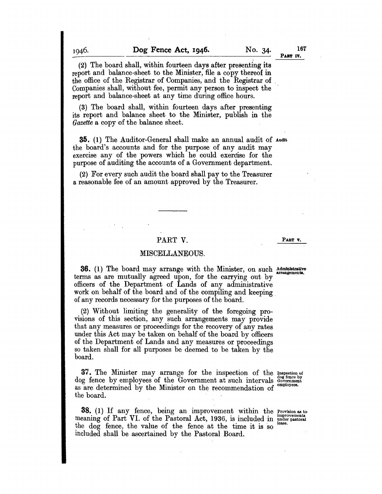16T

(2) The board shall, within fourteen days after presenting its report and balance-sheet to the Minister, file a copy thereof in the office of the Registrar of Companies, and the Registrar of Companies shall, without fee, permit any person to inspect the report and balance-sheet at any time during office hours.

(3) The board shall, within fourteen days after presenting its report and balance sheet to the Minister, publish in the *Gazette* a copy of the balance sheet.

35. (1) The Auditor-General shall make an annual audit of Audit the board's accounts and for the purpose of any audit may exercise any of the powers which he could exercise for the purpose of auditing the accounts of a Government department.

(2) For every such audit the board shall pay to the Treasurer a reasonable fee of an amount approved by the Treasurer.

### PART V.

MISCELLANEOUS.

**36.** (1) The board may arrange with the Minister, on such  $\frac{\text{Administrative}}{\text{arrangement}}$ . terms as are mutually agreed upon, for the carrying out by officers of the Department of Lands of any administrative work on behalf of the board and of the compiling and keeping

of any records necessary for the purposes of the board.

(2) Without limiting the generality of the foregoing provisions of this section, any such arrangements may provide that any measures or proceedings for the recovery of any rates under this Act may be taken on behalf of the board by officers of the Department of Lands and any measures or proceedings so taken shall for all purposes be deemed to be taken by the board.

37. The Minister may arrange for the inspection of the Inspection *oi*  37. The Minister may arrange for the inspection of the Inspection of dog fence by employees of the Government at such intervals Government dog fence by employees of the Government at such intervals dog fence bas are determined by the Minister on the recommendation of employees. as are determined by the Minister on the recommendation of the board.

38. (1) If any fence, being an improvement within the Provision as to meaning of Part VI. of the Pastoral Act, 1936, is included in  $_{\rm under~pastoral}^{\rm improvement}$ the  $\log$  fence, the value of the fence at the time it is so included shall be ascertained by the Pastoral Board.

PART **v.**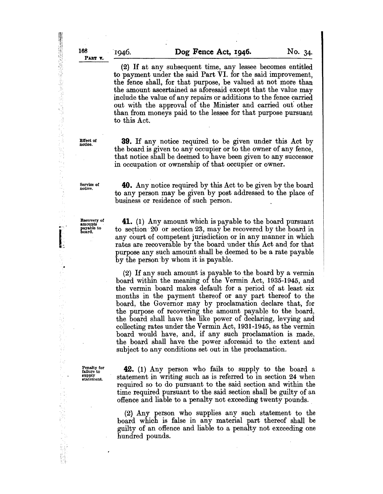(2) If at any subsequent time, any lessee becomes entitled to payment under the said Part VI. for the said improvement, the fence shall, for that purpose, be valued at not more than the amount ascertained as aforesaid except that the value may include the value of any repairs or additions to the fence carried out with the approval of the Minister and carried out' other than from moneys paid to the lessee for that purpose pursuant to this Act.

Effect of notice.

**39.** If any notice required to be given under this Act by the board is given to any occupier or to the owner of any fence, that notice shall be deemed to have been given to any successor in occupation or ownership of that occupier or owner.

Service of notice.

Recovery of<br>amounts<br>payable to board.

"<br>"" ...

Į.

ş.

ų

Ϊij ķ

記念

k, in<br>Th

> **40.** Any notice required by this Act to be given by the board to any person may be given by post addressed to the place of business or residence of such person.

> **41.** (1) Any amount which is payable to the board pursuant to section 20 or section 23, may be recovered by the board in any court of competent jurisdiction or in any manner in which rates are recoverable by the board under this Act and for that purpose any such amount shall be deemed to be a rate payable by the person 'by whom it is payable.

> (2) If any such amount is payable to the board by a vermin board within the meaning of the Vermin Act, 1935-1945, and the vermin board makes default for a period of at least six months in the payment thereof or any part thereof to the board, the Governor may by proclamation declare that, for the purpose of recovering the amount payable to the board, the board shall have the like power of declaring, levying and collecting rates under the Vermin Act, 1931-1945, as the vermin board would have, and, if any such proclamation is made, the board shall have the power aforesaid to the extent and subject to any conditions set out in the proclamation.

Penalty for failure to supply statement.

**42.** (1) Any person who fails to supply to the board a statement in writing such as is referred to in section 24 when required so to do pursuant to the said section and within the time required pursuant to the said section shall be guilty of an offence and liable to a penalty not exceeding twenty pounds ..

(2) Any person who supplies any such statement to the board which is false in any material part thereof shall be guilty of an offence and liable to a penalty not exceeding one hundred pounds.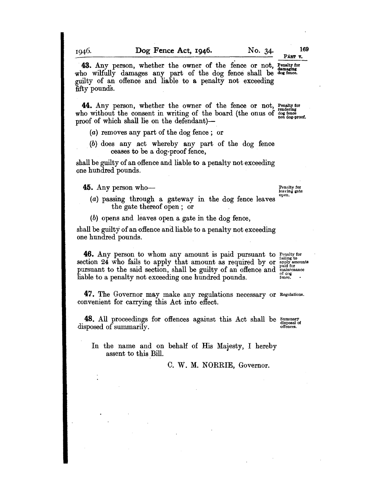43. Any person, whether the owner of the fence or not, Penalty for who wilfully damages any part of the dog fence shall be dog fence. . guilty of an offence and liable to a penalty not exceeding fifty pounds.

44. Any person, whether the owner of the fence or not, Penalty for who without the consent in writing of the board (the onus of  $\frac{1}{1000}$  fence proof of which shall lie on the defendant)—

(a) removes any part of the dog fence; or

(b) does any act whereby any part of the dog fence ceases to be a dog-proof fence,

shall be guilty of an offence and liable to a penalty not exceeding one hundred pounds.

**45.** Any person who-

Penalty for leaving gate open.

PART V.

(a) passing through a gateway in the dog fence leaves the gate thereof open; or

(b) opens and leaves open a gate in the dog fence,

shall be guilty of an offence and liable to a penalty not exceeding one hundred pounds.

**46.** Any person to whom any amount is paid pursuant to  $\frac{P_{\text{enalty}}}{\text{full cost}}$ section 24 who fails to apply that amount as required by or  $_{\rm apoly}^{\rm raming~\omega}$ pursuant to the said section, shall be guilty of an offence and  $\frac{\text{parameter of the data}}{\text{of the data}}$ 

47. The Governor may make any regulations necessary or Regulations. convenient for carrying this Act into effect.

48. All proceedings for offences against this Act shall be Summary disposal of summarily. disposed of summarily.

In the name and on behalf of His Majesty, I hereby assent to this Bill.

C. W. M. NORRIE, Governor.